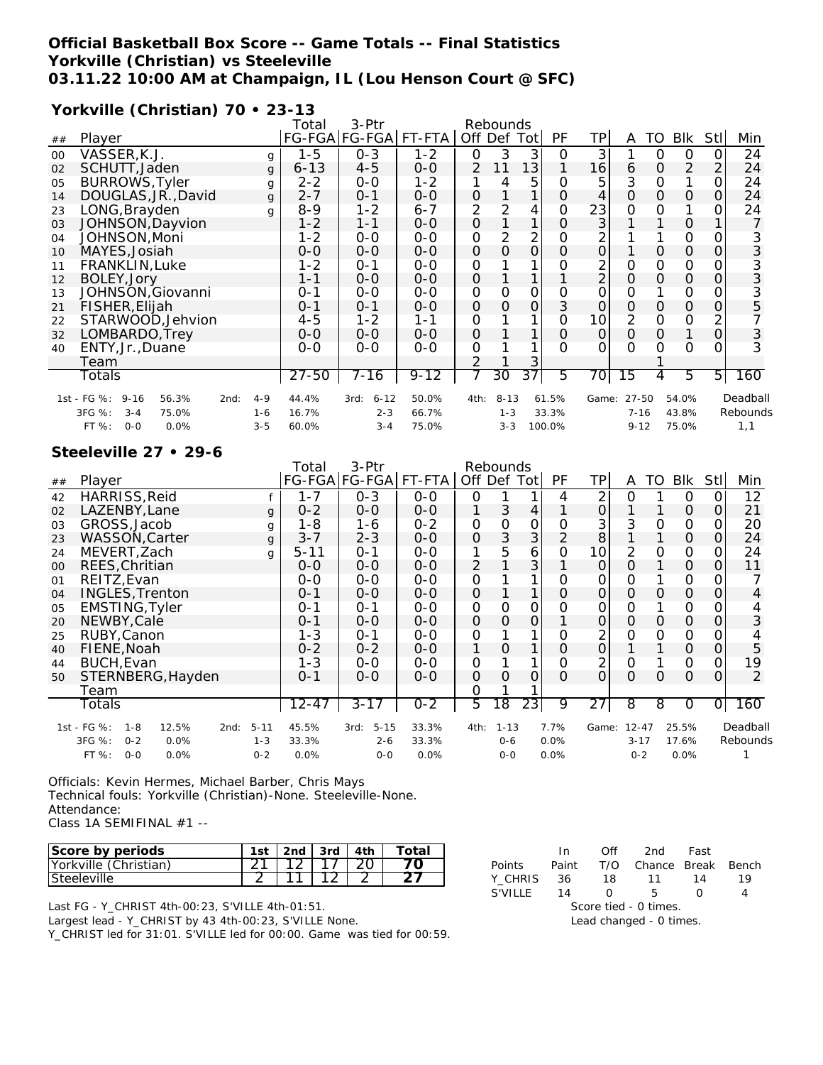### **Official Basketball Box Score -- Game Totals -- Final Statistics Yorkville (Christian) vs Steeleville 03.11.22 10:00 AM at Champaign, IL (Lou Henson Court @ SFC)**

### **Yorkville (Christian) 70 • 23-13**

|    |                                          |         | Total    | 3-Ptr            |          |               | Rebounds |                 |          |                     |             |          |              |            |          |
|----|------------------------------------------|---------|----------|------------------|----------|---------------|----------|-----------------|----------|---------------------|-------------|----------|--------------|------------|----------|
| ## | Player                                   |         |          | FG-FGA FG-FGA    | FT-FTA   | Off Def       |          | Totl            | PF       | ТP                  | A           | TO       | <b>BIK</b>   | <b>Stl</b> | Min      |
| 00 | VASSER, K.J.                             | g       | $1 - 5$  | $0 - 3$          | $1 - 2$  | 0             | 3        | 3               | O        | 3                   |             | $\Omega$ | $\Omega$     | $\Omega$   | 24       |
| 02 | SCHUTT, Jaden                            | q       | $6 - 13$ | $4 - 5$          | $O-O$    | $\mathcal{P}$ | 11       | 13 <sub>1</sub> |          | 16                  | 6           | $\Omega$ | 2            | 2          | 24       |
| 05 | <b>BURROWS, Tyler</b>                    | g       | 2-2      | $0 - 0$          | 1-2      |               | 4        | 5               |          | 5                   | 3           | $\Omega$ |              | 0          | 24       |
| 14 | DOUGLAS, JR., David                      | g       | $2 - 7$  | $0 - 1$          | $0 - 0$  | 0             |          |                 | 0        | 4                   | $\Omega$    | $\Omega$ | $\mathbf{O}$ | 0          | 24       |
| 23 | LONG, Brayden                            | q       | $8 - 9$  | 1-2              | $6 - 7$  | 2             | 2        | 4               | 0        | 23                  | 0           | 0        |              | 0          | 24       |
| 03 | JOHNSON, Dayvion                         |         | 1-2      | 1-1              | $0 - 0$  | 0             |          |                 | $\Omega$ | 3                   |             |          | $\mathbf 0$  |            |          |
| 04 | JOHNSON, Moni                            |         | 1-2      | $0 - 0$          | $0 - 0$  | O             | 2        | 2               | Ο        | 2                   |             |          | 0            | 0          | 3        |
| 10 | MAYES, Josiah                            |         | $O - O$  | $0 - 0$          | $O-O$    | $\Omega$      | $\Omega$ | 0               | 0        | $\mathsf{O}\xspace$ |             | $\Omega$ | $\Omega$     | 0          | 3        |
| 11 | FRANKLIN, Luke                           |         | 1-2      | $0 - 1$          | 0-0      | 0             |          |                 | O        | 2                   | 0           | 0        | 0            |            | 3        |
| 12 | BOLEY, Jory                              |         | 1-1      | $0 - 0$          | $0 - 0$  | $\Omega$      |          |                 |          | 2                   | $\mathbf 0$ | $\Omega$ | $\mathbf{O}$ | 0          | 3        |
| 13 | JOHNSON, Giovanni                        |         | $O - 1$  | $0 - 0$          | $O-O$    | O             | 0        | 0               | O        | $\overline{O}$      | O           |          | 0            | 0          | 3        |
| 21 | FISHER, Elijah                           |         | $O - 1$  | $0 - 1$          | $0 - 0$  | 0             | $\Omega$ | $\overline{O}$  | 3        | $\mathbf{O}$        | $\Omega$    | $\Omega$ | $\mathbf 0$  | 0          | 5        |
| 22 | STARWOOD, Jehvion                        |         | $4 - 5$  | 1-2              | $1 - 1$  | 0             |          |                 | 0        | 10                  | 2           | $\Omega$ | 0            | 2          |          |
| 32 | LOMBARDO, Trey                           |         | $0 - 0$  | $0 - 0$          | $0 - 0$  | Ο             |          |                 | 0        | $\mathsf{O}\xspace$ | O           | $\Omega$ |              | 0          | 3        |
| 40 | ENTY, Jr., Duane                         |         | $O-O$    | $0 - 0$          | $O-O$    | O             |          |                 | U        | $\Omega$            | O           | $\Omega$ | $\Omega$     | Ω          |          |
|    | Team                                     |         |          |                  |          | $\mathcal{P}$ |          | 3               |          |                     |             |          |              |            |          |
|    | Totals                                   |         | 27-50    | 7-16             | $9 - 12$ |               | 30       | 37              | 5        | 70                  | 15          | 4        | 5.           | 5          | 160      |
|    | 1st - FG %:<br>$9 - 16$<br>56.3%<br>2nd: | $4 - 9$ | 44.4%    | $6 - 12$<br>3rd: | 50.0%    | 4th:          | $8 - 13$ |                 | 61.5%    | Game:               | 27-50       |          | 54.0%        |            | Deadball |
|    | 3FG %:<br>$3 - 4$<br>75.0%               | $1 - 6$ | 16.7%    | $2 - 3$          | 66.7%    |               | $1 - 3$  |                 | 33.3%    |                     | $7 - 16$    |          | 43.8%        |            | Rebounds |
|    | FT %:<br>$0 - 0$<br>0.0%                 | $3 - 5$ | 60.0%    | $3 - 4$          | 75.0%    |               | $3 - 3$  |                 | 100.0%   |                     | $9 - 12$    |          | 75.0%        |            | 1.1      |

#### **Steeleville 27 • 29-6**

|    |                       |         |                        |      |              | Total    | 3-Ptr                |         |         |          |                 |                |                |           |          |              |                |                |
|----|-----------------------|---------|------------------------|------|--------------|----------|----------------------|---------|---------|----------|-----------------|----------------|----------------|-----------|----------|--------------|----------------|----------------|
| ## | Player                |         |                        |      |              |          | FG-FGA FG-FGA FT-FTA |         | Off Def |          | Totl            | PF.            | TP             | A         | TO       | <b>BIK</b>   | Stl            | Min            |
| 42 | HARRISS, Reid         |         |                        |      |              | $1 - 7$  | $0 - 3$              | $0 - 0$ | 0       |          |                 | 4              | 2              | 0         |          | 0            | $\Omega$       | 12             |
| 02 | LAZENBY.Lane          |         |                        |      | $\mathbf{q}$ | $0 - 2$  | $0 - 0$              | $0 - 0$ |         | 3        | 4               |                | O              |           |          | 0            | $\overline{O}$ | 21             |
| 03 | GROSS, Jacob          |         |                        |      | g            | 1-8      | 1-6                  | $0 - 2$ | 0       | O        | 0               | Ο              | 3              | 3         | Ο        | 0            | 0              | 20             |
| 23 |                       |         | WASSON, Carter         |      | g            | $3 - 7$  | $2 - 3$              | $O-O$   | 0       | 3        | $\overline{3}$  | $\overline{2}$ | 8              |           |          | $\mathbf 0$  | 0              | 24             |
| 24 | MEVERT, Zach          |         |                        |      | q            | $5 - 11$ | $0 - 1$              | 0-0     | 1       | 5        | 6               | $\Omega$       | 10             | 2         | 0        | 0            | 0              | 24             |
| 00 | REES, Chritian        |         |                        |      |              | $0 - 0$  | $0 - 0$              | $O-O$   | 2       |          | 3               |                | 0              | 0         |          | 0            | 0              | 11             |
| 01 | REITZ, Evan           |         |                        |      |              | $0 - 0$  | 0-0                  | $0 - 0$ | 0       |          |                 | 0              | 0              | O         |          | 0            | 0              |                |
| 04 |                       |         | <b>INGLES, Trenton</b> |      |              | $0 - 1$  | $0 - 0$              | $O-O$   | 0       |          |                 | 0              | 0              | 0         | Ο        | $\mathbf{O}$ | 0              | 4              |
| 05 | <b>EMSTING, Tyler</b> |         |                        |      |              | $0 - 1$  | $0 - 1$              | $O-O$   | 0       | 0        | 0               | O              | 0              | O         |          | 0            | 0              |                |
| 20 | NEWBY, Cale           |         |                        |      |              | $0 - 1$  | 0-0                  | $O-O$   | 0       | 0        | 0               |                | 0              | 0         | 0        | 0            | 0              | 3              |
| 25 | RUBY, Canon           |         |                        |      |              | 1-3      | $0 - 1$              | $O-O$   | 0       |          |                 | O              | $\overline{2}$ | Ω         | O        | 0            | 0              |                |
| 40 | FIENE, Noah           |         |                        |      |              | $0 - 2$  | $0 - 2$              | $0 - 0$ | 1       | 0        |                 | 0              | $\overline{O}$ |           |          | $\mathbf 0$  | 0              | 5              |
| 44 | BUCH, Evan            |         |                        |      |              | $1 - 3$  | $0-0$                | $O-O$   | 0       |          |                 | 0              | 2              | $\Omega$  |          | 0            | 0              | 19             |
| 50 |                       |         | STERNBERG, Hayden      |      |              | $0 - 1$  | $0 - 0$              | $O-O$   | O       | O        | $\Omega$        | $\Omega$       | $\Omega$       | 0         | $\Omega$ | $\Omega$     | $\Omega$       | $\overline{2}$ |
|    | Team                  |         |                        |      |              |          |                      |         | 0       |          |                 |                |                |           |          |              |                |                |
|    | Totals                |         |                        |      |              | 12-47    | $3 - 17$             | $0 - 2$ | 5       | 18       | $\overline{23}$ | 9              | 27             | 8         | 8        | 0            | Οl             | 160            |
|    | 1st - FG %:           | $1 - 8$ | 12.5%                  | 2nd: | $5 - 11$     | 45.5%    | $5 - 15$<br>3rd:     | 33.3%   | 4th:    | $1 - 13$ |                 | 7.7%           | Game:          | $12 - 47$ |          | 25.5%        |                | Deadball       |
|    | 3FG %:                | $0 - 2$ | 0.0%                   |      | $1 - 3$      | 33.3%    | $2 - 6$              | 33.3%   |         | $0 - 6$  |                 | 0.0%           |                | $3 - 17$  |          | 17.6%        |                | Rebounds       |
|    | FT %:                 | $0 - 0$ | 0.0%                   |      | $0 - 2$      | 0.0%     | $0 - 0$              | 0.0%    |         | $0 - 0$  |                 | 0.0%           |                | $0 - 2$   |          | 0.0%         |                |                |

Officials: Kevin Hermes, Michael Barber, Chris Mays Technical fouls: Yorkville (Christian)-None. Steeleville-None. Attendance: Class 1A SEMIFINAL #1 --

| Score by periods      | 1st | 2nd | -3rd | 4th | Total |
|-----------------------|-----|-----|------|-----|-------|
| Vorkville (Christian) |     |     |      |     |       |
| Steeleville           |     |     |      |     |       |

Last FG - Y\_CHRIST 4th-00:23, S'VILLE 4th-01:51.

Largest lead - Y\_CHRIST by 43 4th-00:23, S'VILLE None.

Y\_CHRIST led for 31:01. S'VILLE led for 00:00. Game was tied for 00:59.

|                         | In.   | Off               | 2nd                    | Fast |    |  |  |  |  |
|-------------------------|-------|-------------------|------------------------|------|----|--|--|--|--|
| <b>Points</b>           | Paint |                   | T/O Chance Break Bench |      |    |  |  |  |  |
| Y CHRIS                 | -36   | 18                | 11                     | 14   | 19 |  |  |  |  |
| S'VILLF                 | 14    | $\mathbf{\Omega}$ | 5                      |      |    |  |  |  |  |
|                         |       |                   | Score tied - 0 times.  |      |    |  |  |  |  |
| Lead changed - 0 times. |       |                   |                        |      |    |  |  |  |  |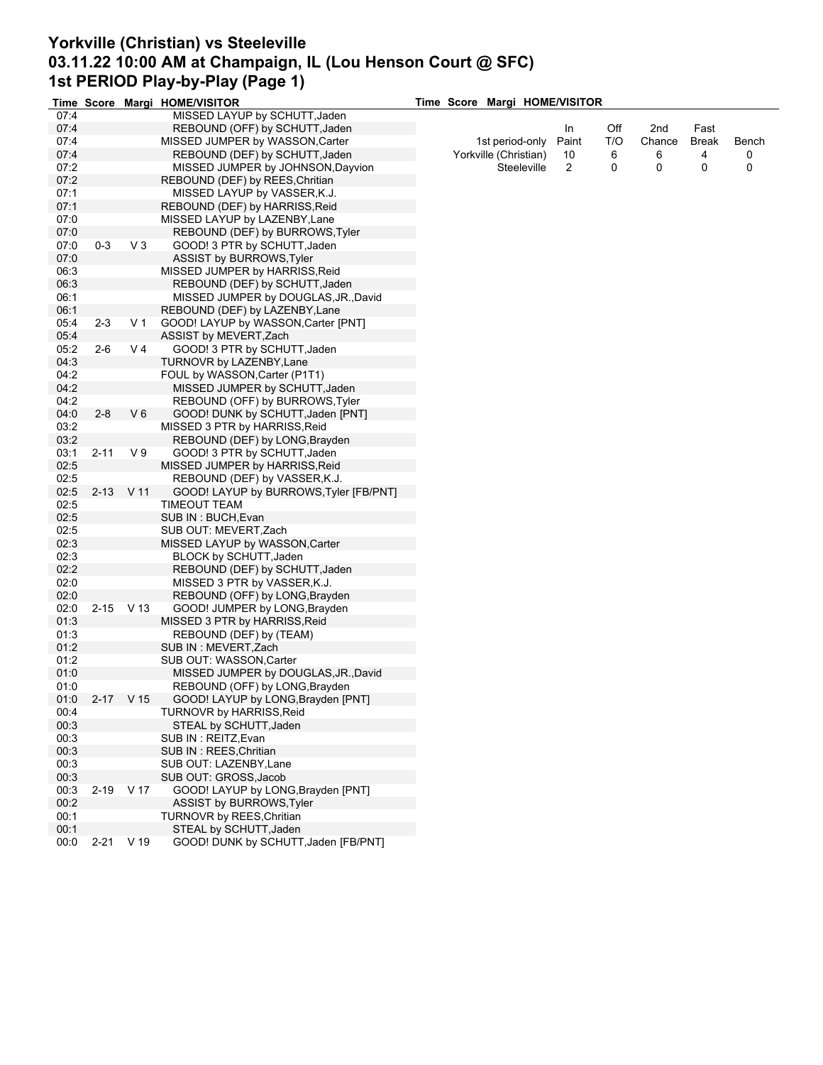### **Yorkville (Christian) vs Steeleville 03.11.22 10:00 AM at Champaign, IL (Lou Henson Court @ SFC) 1st PERIOD Play-by-Play (Page 1) Time Score Margi HOME/VISITOR**

|              |          |             | Time Score Margi HOME/VISITOR                                           |  |                       | Time Score Margi HOME/VISITOR |     |        |       |       |
|--------------|----------|-------------|-------------------------------------------------------------------------|--|-----------------------|-------------------------------|-----|--------|-------|-------|
| 07:4         |          |             | MISSED LAYUP by SCHUTT, Jaden                                           |  |                       |                               |     |        |       |       |
| 07:4         |          |             | REBOUND (OFF) by SCHUTT, Jaden                                          |  |                       | In                            | Off | 2nd    | Fast  |       |
| 07:4         |          |             | MISSED JUMPER by WASSON, Carter                                         |  | 1st period-only       | Paint                         | T/O | Chance | Break | Bench |
| 07:4         |          |             | REBOUND (DEF) by SCHUTT, Jaden                                          |  | Yorkville (Christian) | 10                            | 6   | 6      | 4     | 0     |
| 07:2         |          |             | MISSED JUMPER by JOHNSON, Dayvion                                       |  | Steeleville           | $\overline{2}$                | 0   | 0      | 0     | 0     |
| 07:2         |          |             | REBOUND (DEF) by REES, Chritian                                         |  |                       |                               |     |        |       |       |
| 07:1         |          |             | MISSED LAYUP by VASSER, K.J.                                            |  |                       |                               |     |        |       |       |
| 07:1         |          |             | REBOUND (DEF) by HARRISS, Reid                                          |  |                       |                               |     |        |       |       |
| 07:0         |          |             | MISSED LAYUP by LAZENBY, Lane                                           |  |                       |                               |     |        |       |       |
| 07:0         |          |             | REBOUND (DEF) by BURROWS, Tyler                                         |  |                       |                               |     |        |       |       |
| 07:0         | $0-3$    | $V_3$       | GOOD! 3 PTR by SCHUTT, Jaden                                            |  |                       |                               |     |        |       |       |
| 07:0         |          |             | <b>ASSIST by BURROWS Tyler</b>                                          |  |                       |                               |     |        |       |       |
| 06:3         |          |             | MISSED JUMPER by HARRISS, Reid                                          |  |                       |                               |     |        |       |       |
| 06:3         |          |             | REBOUND (DEF) by SCHUTT, Jaden                                          |  |                       |                               |     |        |       |       |
| 06:1         |          |             | MISSED JUMPER by DOUGLAS, JR., David                                    |  |                       |                               |     |        |       |       |
| 06:1         |          |             | REBOUND (DEF) by LAZENBY, Lane                                          |  |                       |                               |     |        |       |       |
| 05:4         | $2 - 3$  | V 1         | GOOD! LAYUP by WASSON, Carter [PNT]                                     |  |                       |                               |     |        |       |       |
| 05:4         |          |             | ASSIST by MEVERT, Zach                                                  |  |                       |                               |     |        |       |       |
| 05:2         | $2 - 6$  | V 4         | GOOD! 3 PTR by SCHUTT, Jaden                                            |  |                       |                               |     |        |       |       |
| 04:3         |          |             | TURNOVR by LAZENBY, Lane                                                |  |                       |                               |     |        |       |       |
| 04:2         |          |             | FOUL by WASSON, Carter (P1T1)                                           |  |                       |                               |     |        |       |       |
| 04:2         |          |             | MISSED JUMPER by SCHUTT, Jaden                                          |  |                       |                               |     |        |       |       |
| 04:2         |          |             | REBOUND (OFF) by BURROWS, Tyler                                         |  |                       |                               |     |        |       |       |
| 04:0         | $2 - 8$  | $V_6$       | GOOD! DUNK by SCHUTT, Jaden [PNT]                                       |  |                       |                               |     |        |       |       |
| 03:2         |          |             | MISSED 3 PTR by HARRISS, Reid                                           |  |                       |                               |     |        |       |       |
| 03:2         |          |             | REBOUND (DEF) by LONG, Brayden                                          |  |                       |                               |     |        |       |       |
| 03:1         | $2 - 11$ | V 9         |                                                                         |  |                       |                               |     |        |       |       |
| 02:5         |          |             | GOOD! 3 PTR by SCHUTT, Jaden                                            |  |                       |                               |     |        |       |       |
|              |          |             | MISSED JUMPER by HARRISS, Reid                                          |  |                       |                               |     |        |       |       |
| 02:5<br>02:5 |          | 2-13 V 11   | REBOUND (DEF) by VASSER, K.J.<br>GOOD! LAYUP by BURROWS, Tyler [FB/PNT] |  |                       |                               |     |        |       |       |
|              |          |             |                                                                         |  |                       |                               |     |        |       |       |
| 02:5         |          |             | TIMEOUT TEAM                                                            |  |                       |                               |     |        |       |       |
| 02:5         |          |             | SUB IN : BUCH, Evan                                                     |  |                       |                               |     |        |       |       |
| 02:5<br>02:3 |          |             | SUB OUT: MEVERT,Zach                                                    |  |                       |                               |     |        |       |       |
| 02:3         |          |             | MISSED LAYUP by WASSON, Carter                                          |  |                       |                               |     |        |       |       |
|              |          |             | BLOCK by SCHUTT, Jaden                                                  |  |                       |                               |     |        |       |       |
| 02:2         |          |             | REBOUND (DEF) by SCHUTT, Jaden                                          |  |                       |                               |     |        |       |       |
| 02:0         |          |             | MISSED 3 PTR by VASSER, K.J.                                            |  |                       |                               |     |        |       |       |
| 02:0         |          |             | REBOUND (OFF) by LONG, Brayden                                          |  |                       |                               |     |        |       |       |
| 02:0<br>01:3 |          | $2-15$ V 13 | GOOD! JUMPER by LONG, Brayden                                           |  |                       |                               |     |        |       |       |
|              |          |             | MISSED 3 PTR by HARRISS, Reid                                           |  |                       |                               |     |        |       |       |
| 01:3         |          |             | REBOUND (DEF) by (TEAM)<br>SUB IN: MEVERT, Zach                         |  |                       |                               |     |        |       |       |
| 01:2         |          |             |                                                                         |  |                       |                               |     |        |       |       |
| 01:2         |          |             | SUB OUT: WASSON, Carter                                                 |  |                       |                               |     |        |       |       |
| 01:0         |          |             | MISSED JUMPER by DOUGLAS, JR., David                                    |  |                       |                               |     |        |       |       |
| 01:0         |          |             | REBOUND (OFF) by LONG, Brayden                                          |  |                       |                               |     |        |       |       |
| 01:0         | $2 - 17$ | V 15        | GOOD! LAYUP by LONG, Brayden [PNT]                                      |  |                       |                               |     |        |       |       |
| 00:4         |          |             | <b>TURNOVR by HARRISS, Reid</b>                                         |  |                       |                               |     |        |       |       |
| 00:3         |          |             | STEAL by SCHUTT, Jaden                                                  |  |                       |                               |     |        |       |       |
| 00:3         |          |             | SUB IN: REITZ, Evan                                                     |  |                       |                               |     |        |       |       |
| 00:3         |          |             | SUB IN: REES, Chritian                                                  |  |                       |                               |     |        |       |       |
| 00:3         |          |             | SUB OUT: LAZENBY, Lane                                                  |  |                       |                               |     |        |       |       |
| 00:3         |          |             | SUB OUT: GROSS, Jacob                                                   |  |                       |                               |     |        |       |       |
| 00:3         |          | 2-19 V 17   | GOOD! LAYUP by LONG, Brayden [PNT]                                      |  |                       |                               |     |        |       |       |
| 00:2         |          |             | ASSIST by BURROWS, Tyler                                                |  |                       |                               |     |        |       |       |
| 00:1         |          |             | TURNOVR by REES, Chritian                                               |  |                       |                               |     |        |       |       |
| 00:1         |          |             | STEAL by SCHUTT, Jaden                                                  |  |                       |                               |     |        |       |       |
| 00:0         |          | 2-21 V 19   | GOOD! DUNK by SCHUTT, Jaden [FB/PNT]                                    |  |                       |                               |     |        |       |       |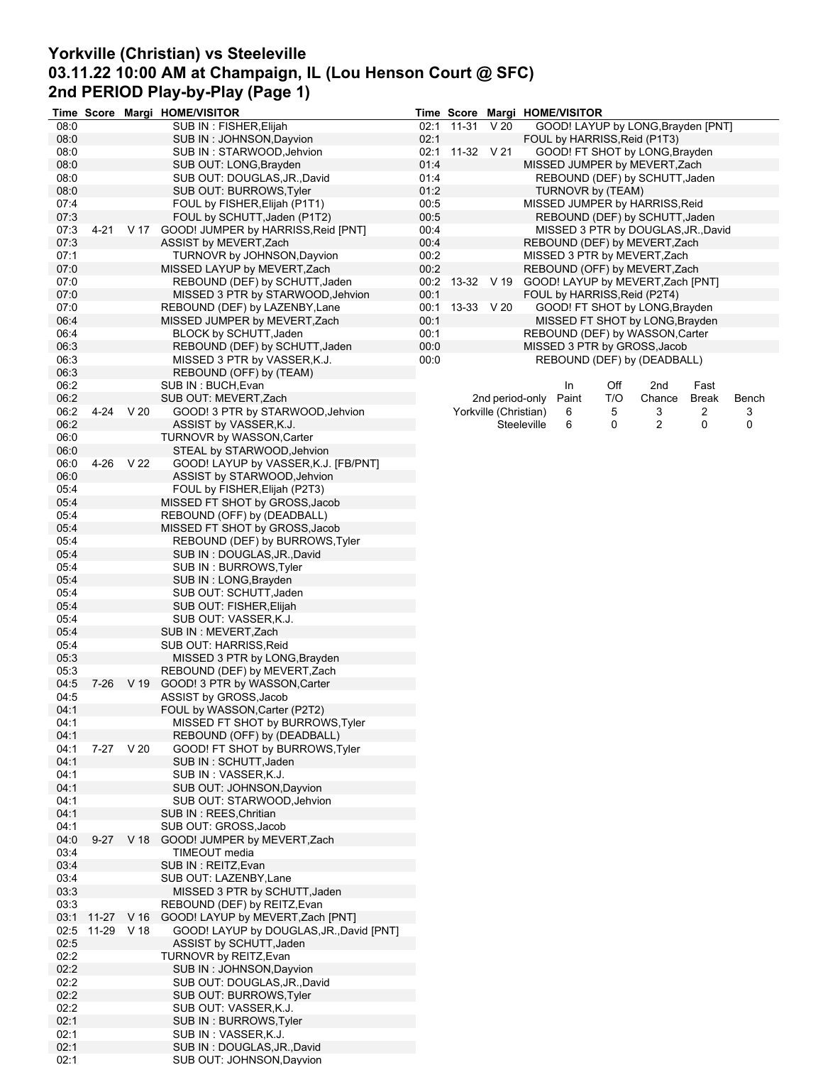# **Yorkville (Christian) vs Steeleville 03.11.22 10:00 AM at Champaign, IL (Lou Henson Court @ SFC) 2nd PERIOD Play-by-Play (Page 1)**

|      |            |           | Time Score Margi HOME/VISITOR                                  |      | Time Score      |                       | Margi HOME/VISITOR |       |                   |                                     |                |       |
|------|------------|-----------|----------------------------------------------------------------|------|-----------------|-----------------------|--------------------|-------|-------------------|-------------------------------------|----------------|-------|
| 08:0 |            |           | SUB IN: FISHER, Elijah                                         | 02:1 | 11-31           | V <sub>20</sub>       |                    |       |                   | GOOD! LAYUP by LONG, Brayden [PNT]  |                |       |
| 08:0 |            |           | SUB IN: JOHNSON, Dayvion                                       | 02:1 |                 |                       |                    |       |                   | FOUL by HARRISS, Reid (P1T3)        |                |       |
| 08:0 |            |           | SUB IN: STARWOOD, Jehvion                                      |      | 02:1 11-32 V 21 |                       |                    |       |                   | GOOD! FT SHOT by LONG, Brayden      |                |       |
| 08:0 |            |           | SUB OUT: LONG, Brayden                                         | 01:4 |                 |                       |                    |       |                   | MISSED JUMPER by MEVERT, Zach       |                |       |
| 08:0 |            |           | SUB OUT: DOUGLAS, JR., David                                   | 01:4 |                 |                       |                    |       |                   | REBOUND (DEF) by SCHUTT, Jaden      |                |       |
| 08:0 |            |           | SUB OUT: BURROWS, Tyler                                        | 01:2 |                 |                       |                    |       | TURNOVR by (TEAM) |                                     |                |       |
| 07:4 |            |           | FOUL by FISHER, Elijah (P1T1)                                  | 00:5 |                 |                       |                    |       |                   | MISSED JUMPER by HARRISS, Reid      |                |       |
| 07:3 |            |           | FOUL by SCHUTT, Jaden (P1T2)                                   | 00:5 |                 |                       |                    |       |                   | REBOUND (DEF) by SCHUTT, Jaden      |                |       |
| 07:3 | $4 - 21$   | V 17      | GOOD! JUMPER by HARRISS, Reid [PNT]                            | 00:4 |                 |                       |                    |       |                   | MISSED 3 PTR by DOUGLAS, JR., David |                |       |
| 07:3 |            |           | ASSIST by MEVERT, Zach                                         | 00:4 |                 |                       |                    |       |                   | REBOUND (DEF) by MEVERT, Zach       |                |       |
| 07:1 |            |           | TURNOVR by JOHNSON, Dayvion                                    | 00:2 |                 |                       |                    |       |                   | MISSED 3 PTR by MEVERT, Zach        |                |       |
| 07:0 |            |           | MISSED LAYUP by MEVERT, Zach                                   | 00:2 |                 |                       |                    |       |                   | REBOUND (OFF) by MEVERT, Zach       |                |       |
| 07:0 |            |           | REBOUND (DEF) by SCHUTT, Jaden                                 |      | 00:2 13-32 V 19 |                       |                    |       |                   | GOOD! LAYUP by MEVERT, Zach [PNT]   |                |       |
| 07:0 |            |           | MISSED 3 PTR by STARWOOD, Jehvion                              | 00:1 |                 |                       |                    |       |                   | FOUL by HARRISS, Reid (P2T4)        |                |       |
| 07:0 |            |           | REBOUND (DEF) by LAZENBY, Lane                                 | 00:1 |                 | 13-33 V 20            |                    |       |                   | GOOD! FT SHOT by LONG, Brayden      |                |       |
| 06:4 |            |           | MISSED JUMPER by MEVERT, Zach                                  | 00:1 |                 |                       |                    |       |                   | MISSED FT SHOT by LONG, Brayden     |                |       |
| 06:4 |            |           | BLOCK by SCHUTT, Jaden                                         | 00:1 |                 |                       |                    |       |                   | REBOUND (DEF) by WASSON, Carter     |                |       |
| 06:3 |            |           | REBOUND (DEF) by SCHUTT, Jaden                                 | 00:0 |                 |                       |                    |       |                   | MISSED 3 PTR by GROSS, Jacob        |                |       |
| 06:3 |            |           | MISSED 3 PTR by VASSER, K.J.                                   | 00:0 |                 |                       |                    |       |                   | REBOUND (DEF) by (DEADBALL)         |                |       |
| 06:3 |            |           | REBOUND (OFF) by (TEAM)                                        |      |                 |                       |                    |       |                   |                                     |                |       |
| 06:2 |            |           | SUB IN : BUCH, Evan                                            |      |                 |                       |                    | In    | Off               | 2nd                                 | Fast           |       |
| 06:2 |            |           | SUB OUT: MEVERT, Zach                                          |      |                 | 2nd period-only       |                    | Paint | T/O               | Chance                              | Break          | Bench |
| 06:2 |            | 4-24 V 20 | GOOD! 3 PTR by STARWOOD, Jehvion                               |      |                 | Yorkville (Christian) |                    | 6     | 5                 | 3                                   | $\overline{2}$ | 3     |
| 06:2 |            |           | ASSIST by VASSER, K.J.                                         |      |                 |                       | Steeleville        | 6     | 0                 | 2                                   | 0              | 0     |
| 06:0 |            |           | TURNOVR by WASSON, Carter                                      |      |                 |                       |                    |       |                   |                                     |                |       |
| 06:0 |            |           | STEAL by STARWOOD, Jehvion                                     |      |                 |                       |                    |       |                   |                                     |                |       |
| 06:0 | 4-26       | V 22      | GOOD! LAYUP by VASSER, K.J. [FB/PNT]                           |      |                 |                       |                    |       |                   |                                     |                |       |
| 06:0 |            |           | ASSIST by STARWOOD, Jehvion                                    |      |                 |                       |                    |       |                   |                                     |                |       |
| 05:4 |            |           | FOUL by FISHER, Elijah (P2T3)                                  |      |                 |                       |                    |       |                   |                                     |                |       |
| 05:4 |            |           | MISSED FT SHOT by GROSS, Jacob                                 |      |                 |                       |                    |       |                   |                                     |                |       |
| 05:4 |            |           | REBOUND (OFF) by (DEADBALL)                                    |      |                 |                       |                    |       |                   |                                     |                |       |
| 05:4 |            |           | MISSED FT SHOT by GROSS, Jacob                                 |      |                 |                       |                    |       |                   |                                     |                |       |
| 05:4 |            |           | REBOUND (DEF) by BURROWS, Tyler                                |      |                 |                       |                    |       |                   |                                     |                |       |
| 05:4 |            |           | SUB IN: DOUGLAS, JR., David                                    |      |                 |                       |                    |       |                   |                                     |                |       |
| 05:4 |            |           | SUB IN: BURROWS, Tyler                                         |      |                 |                       |                    |       |                   |                                     |                |       |
| 05:4 |            |           | SUB IN: LONG, Brayden                                          |      |                 |                       |                    |       |                   |                                     |                |       |
| 05:4 |            |           | SUB OUT: SCHUTT, Jaden                                         |      |                 |                       |                    |       |                   |                                     |                |       |
| 05:4 |            |           | SUB OUT: FISHER, Elijah                                        |      |                 |                       |                    |       |                   |                                     |                |       |
| 05:4 |            |           | SUB OUT: VASSER,K.J.                                           |      |                 |                       |                    |       |                   |                                     |                |       |
| 05:4 |            |           | SUB IN: MEVERT, Zach                                           |      |                 |                       |                    |       |                   |                                     |                |       |
| 05:4 |            |           | SUB OUT: HARRISS, Reid                                         |      |                 |                       |                    |       |                   |                                     |                |       |
| 05:3 |            |           | MISSED 3 PTR by LONG, Brayden                                  |      |                 |                       |                    |       |                   |                                     |                |       |
| 05:3 |            |           | REBOUND (DEF) by MEVERT, Zach                                  |      |                 |                       |                    |       |                   |                                     |                |       |
| 04:5 | 7-26       | V 19      | GOOD! 3 PTR by WASSON, Carter                                  |      |                 |                       |                    |       |                   |                                     |                |       |
| 04:5 |            |           | ASSIST by GROSS, Jacob                                         |      |                 |                       |                    |       |                   |                                     |                |       |
| 04:1 |            |           | FOUL by WASSON, Carter (P2T2)                                  |      |                 |                       |                    |       |                   |                                     |                |       |
| 04:1 |            |           | MISSED FT SHOT by BURROWS, Tyler                               |      |                 |                       |                    |       |                   |                                     |                |       |
| 04:1 |            |           |                                                                |      |                 |                       |                    |       |                   |                                     |                |       |
| 04:1 |            | 7-27 V 20 | REBOUND (OFF) by (DEADBALL)<br>GOOD! FT SHOT by BURROWS, Tyler |      |                 |                       |                    |       |                   |                                     |                |       |
| 04:1 |            |           | SUB IN: SCHUTT, Jaden                                          |      |                 |                       |                    |       |                   |                                     |                |       |
| 04:1 |            |           | SUB IN : VASSER K.J.                                           |      |                 |                       |                    |       |                   |                                     |                |       |
| 04:1 |            |           | SUB OUT: JOHNSON, Dayvion                                      |      |                 |                       |                    |       |                   |                                     |                |       |
| 04:1 |            |           | SUB OUT: STARWOOD, Jehvion                                     |      |                 |                       |                    |       |                   |                                     |                |       |
| 04:1 |            |           | SUB IN: REES, Chritian                                         |      |                 |                       |                    |       |                   |                                     |                |       |
| 04:1 |            |           | SUB OUT: GROSS, Jacob                                          |      |                 |                       |                    |       |                   |                                     |                |       |
|      |            |           |                                                                |      |                 |                       |                    |       |                   |                                     |                |       |
| 04:0 | $9-27$     | V 18      | GOOD! JUMPER by MEVERT, Zach                                   |      |                 |                       |                    |       |                   |                                     |                |       |
| 03:4 |            |           | TIMEOUT media                                                  |      |                 |                       |                    |       |                   |                                     |                |       |
| 03:4 |            |           | SUB IN: REITZ, Evan                                            |      |                 |                       |                    |       |                   |                                     |                |       |
| 03:4 |            |           | SUB OUT: LAZENBY, Lane                                         |      |                 |                       |                    |       |                   |                                     |                |       |
| 03:3 |            |           | MISSED 3 PTR by SCHUTT, Jaden                                  |      |                 |                       |                    |       |                   |                                     |                |       |
| 03:3 |            |           | REBOUND (DEF) by REITZ, Evan                                   |      |                 |                       |                    |       |                   |                                     |                |       |
| 03:1 | 11-27 V 16 |           | GOOD! LAYUP by MEVERT, Zach [PNT]                              |      |                 |                       |                    |       |                   |                                     |                |       |
| 02:5 | 11-29 V 18 |           | GOOD! LAYUP by DOUGLAS, JR., David [PNT]                       |      |                 |                       |                    |       |                   |                                     |                |       |
| 02:5 |            |           | ASSIST by SCHUTT, Jaden                                        |      |                 |                       |                    |       |                   |                                     |                |       |
| 02:2 |            |           | TURNOVR by REITZ, Evan                                         |      |                 |                       |                    |       |                   |                                     |                |       |
| 02:2 |            |           | SUB IN: JOHNSON, Dayvion                                       |      |                 |                       |                    |       |                   |                                     |                |       |
| 02:2 |            |           | SUB OUT: DOUGLAS, JR., David                                   |      |                 |                       |                    |       |                   |                                     |                |       |
| 02:2 |            |           | SUB OUT: BURROWS, Tyler                                        |      |                 |                       |                    |       |                   |                                     |                |       |
| 02:2 |            |           | SUB OUT: VASSER,K.J.                                           |      |                 |                       |                    |       |                   |                                     |                |       |
| 02:1 |            |           | SUB IN: BURROWS, Tyler                                         |      |                 |                       |                    |       |                   |                                     |                |       |
| 02:1 |            |           | SUB IN : VASSER, K.J.                                          |      |                 |                       |                    |       |                   |                                     |                |       |
| 02:1 |            |           | SUB IN : DOUGLAS, JR., David                                   |      |                 |                       |                    |       |                   |                                     |                |       |
| 02:1 |            |           | SUB OUT: JOHNSON, Dayvion                                      |      |                 |                       |                    |       |                   |                                     |                |       |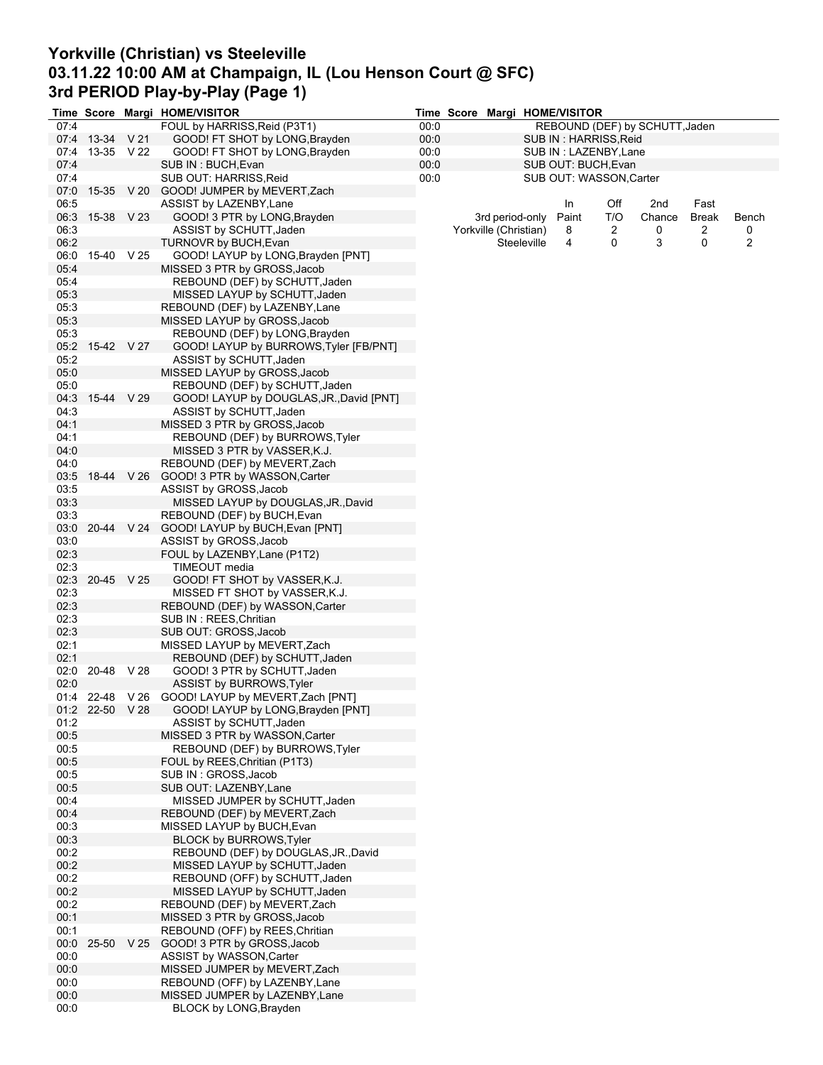# **Yorkville (Christian) vs Steeleville 03.11.22 10:00 AM at Champaign, IL (Lou Henson Court @ SFC) 3rd PERIOD Play-by-Play (Page 1)**

|      |                     |            | Time Score Margi HOME/VISITOR              |      | Time Score |                       |             | Margi HOME/VISITOR      |     |                                |              |       |
|------|---------------------|------------|--------------------------------------------|------|------------|-----------------------|-------------|-------------------------|-----|--------------------------------|--------------|-------|
| 07:4 |                     |            | FOUL by HARRISS, Reid (P3T1)               | 00:0 |            |                       |             |                         |     | REBOUND (DEF) by SCHUTT, Jaden |              |       |
|      | 07:4 13-34 V 21     |            | GOOD! FT SHOT by LONG, Brayden             | 00:0 |            |                       |             | SUB IN: HARRISS, Reid   |     |                                |              |       |
| 07:4 | 13-35 V 22          |            | GOOD! FT SHOT by LONG, Brayden             | 00:0 |            |                       |             | SUB IN : LAZENBY, Lane  |     |                                |              |       |
| 07:4 |                     |            | SUB IN: BUCH, Evan                         | 00:0 |            |                       |             | SUB OUT: BUCH, Evan     |     |                                |              |       |
| 07:4 |                     |            | SUB OUT: HARRISS, Reid                     | 00:0 |            |                       |             | SUB OUT: WASSON, Carter |     |                                |              |       |
| 07:0 |                     | 15-35 V 20 | GOOD! JUMPER by MEVERT, Zach               |      |            |                       |             |                         |     |                                |              |       |
| 06:5 |                     |            | ASSIST by LAZENBY, Lane                    |      |            |                       |             | In                      | Off | 2nd                            | Fast         |       |
|      | 06:3 15-38 V 23     |            | GOOD! 3 PTR by LONG, Brayden               |      |            | 3rd period-only       |             | Paint                   | T/O | Chance                         | <b>Break</b> | Bench |
| 06:3 |                     |            | ASSIST by SCHUTT, Jaden                    |      |            | Yorkville (Christian) |             | 8                       | 2   | 0                              | 2            | 0     |
| 06:2 |                     |            | TURNOVR by BUCH, Evan                      |      |            |                       | Steeleville | 4                       | 0   | 3                              | 0            | 2     |
| 06:0 | 15-40 V 25          |            | GOOD! LAYUP by LONG, Brayden [PNT]         |      |            |                       |             |                         |     |                                |              |       |
|      |                     |            | MISSED 3 PTR by GROSS, Jacob               |      |            |                       |             |                         |     |                                |              |       |
| 05:4 |                     |            |                                            |      |            |                       |             |                         |     |                                |              |       |
| 05:4 |                     |            | REBOUND (DEF) by SCHUTT, Jaden             |      |            |                       |             |                         |     |                                |              |       |
| 05.3 |                     |            | MISSED LAYUP by SCHUTT, Jaden              |      |            |                       |             |                         |     |                                |              |       |
| 05:3 |                     |            | REBOUND (DEF) by LAZENBY, Lane             |      |            |                       |             |                         |     |                                |              |       |
| 05:3 |                     |            | MISSED LAYUP by GROSS, Jacob               |      |            |                       |             |                         |     |                                |              |       |
| 05:3 |                     |            | REBOUND (DEF) by LONG, Brayden             |      |            |                       |             |                         |     |                                |              |       |
| 05:2 | 15-42 V 27          |            | GOOD! LAYUP by BURROWS, Tyler [FB/PNT]     |      |            |                       |             |                         |     |                                |              |       |
| 05:2 |                     |            | ASSIST by SCHUTT, Jaden                    |      |            |                       |             |                         |     |                                |              |       |
| 05:0 |                     |            | MISSED LAYUP by GROSS, Jacob               |      |            |                       |             |                         |     |                                |              |       |
| 05:0 |                     |            | REBOUND (DEF) by SCHUTT, Jaden             |      |            |                       |             |                         |     |                                |              |       |
| 04:3 | 15-44 V 29          |            | GOOD! LAYUP by DOUGLAS, JR., David [PNT]   |      |            |                       |             |                         |     |                                |              |       |
| 04:3 |                     |            | ASSIST by SCHUTT, Jaden                    |      |            |                       |             |                         |     |                                |              |       |
| 04:1 |                     |            | MISSED 3 PTR by GROSS, Jacob               |      |            |                       |             |                         |     |                                |              |       |
| 04:1 |                     |            | REBOUND (DEF) by BURROWS, Tyler            |      |            |                       |             |                         |     |                                |              |       |
| 04:0 |                     |            | MISSED 3 PTR by VASSER, K.J.               |      |            |                       |             |                         |     |                                |              |       |
| 04:0 |                     |            | REBOUND (DEF) by MEVERT, Zach              |      |            |                       |             |                         |     |                                |              |       |
| 03:5 |                     |            | 18-44 V 26 GOOD! 3 PTR by WASSON, Carter   |      |            |                       |             |                         |     |                                |              |       |
|      |                     |            |                                            |      |            |                       |             |                         |     |                                |              |       |
| 03:5 |                     |            | ASSIST by GROSS, Jacob                     |      |            |                       |             |                         |     |                                |              |       |
| 03:3 |                     |            | MISSED LAYUP by DOUGLAS, JR., David        |      |            |                       |             |                         |     |                                |              |       |
| 03:3 |                     |            | REBOUND (DEF) by BUCH, Evan                |      |            |                       |             |                         |     |                                |              |       |
| 03:0 |                     |            | 20-44 V 24 GOOD! LAYUP by BUCH, Evan [PNT] |      |            |                       |             |                         |     |                                |              |       |
| 03:0 |                     |            | ASSIST by GROSS, Jacob                     |      |            |                       |             |                         |     |                                |              |       |
| 02:3 |                     |            | FOUL by LAZENBY, Lane (P1T2)               |      |            |                       |             |                         |     |                                |              |       |
| 02:3 |                     |            | TIMEOUT media                              |      |            |                       |             |                         |     |                                |              |       |
| 02:3 | 20-45 V 25          |            | GOOD! FT SHOT by VASSER, K.J.              |      |            |                       |             |                         |     |                                |              |       |
| 02:3 |                     |            | MISSED FT SHOT by VASSER, K.J.             |      |            |                       |             |                         |     |                                |              |       |
| 02:3 |                     |            | REBOUND (DEF) by WASSON, Carter            |      |            |                       |             |                         |     |                                |              |       |
| 02:3 |                     |            | SUB IN: REES, Chritian                     |      |            |                       |             |                         |     |                                |              |       |
| 02:3 |                     |            | SUB OUT: GROSS, Jacob                      |      |            |                       |             |                         |     |                                |              |       |
| 02:1 |                     |            | MISSED LAYUP by MEVERT, Zach               |      |            |                       |             |                         |     |                                |              |       |
| 02:1 |                     |            | REBOUND (DEF) by SCHUTT, Jaden             |      |            |                       |             |                         |     |                                |              |       |
| 02:0 | 20-48               | V 28       | GOOD! 3 PTR by SCHUTT, Jaden               |      |            |                       |             |                         |     |                                |              |       |
| 02:0 |                     |            | ASSIST by BURROWS, Tyler                   |      |            |                       |             |                         |     |                                |              |       |
|      | $01:4$ 22-48 $V$ 26 |            | GOOD! LAYUP by MEVERT, Zach [PNT]          |      |            |                       |             |                         |     |                                |              |       |
|      | 01:2 22-50 V 28     |            | GOOD! LAYUP by LONG, Brayden [PNT]         |      |            |                       |             |                         |     |                                |              |       |
| 01:2 |                     |            | ASSIST by SCHUTT, Jaden                    |      |            |                       |             |                         |     |                                |              |       |
| 00:5 |                     |            | MISSED 3 PTR by WASSON, Carter             |      |            |                       |             |                         |     |                                |              |       |
| 00:5 |                     |            | REBOUND (DEF) by BURROWS, Tyler            |      |            |                       |             |                         |     |                                |              |       |
| 00:5 |                     |            | FOUL by REES, Chritian (P1T3)              |      |            |                       |             |                         |     |                                |              |       |
| 00:5 |                     |            | SUB IN: GROSS, Jacob                       |      |            |                       |             |                         |     |                                |              |       |
| 00:5 |                     |            | SUB OUT: LAZENBY, Lane                     |      |            |                       |             |                         |     |                                |              |       |
|      |                     |            |                                            |      |            |                       |             |                         |     |                                |              |       |
| 00:4 |                     |            | MISSED JUMPER by SCHUTT, Jaden             |      |            |                       |             |                         |     |                                |              |       |
| 00:4 |                     |            | REBOUND (DEF) by MEVERT, Zach              |      |            |                       |             |                         |     |                                |              |       |
| 00:3 |                     |            | MISSED LAYUP by BUCH, Evan                 |      |            |                       |             |                         |     |                                |              |       |
| 00:3 |                     |            | <b>BLOCK by BURROWS, Tyler</b>             |      |            |                       |             |                         |     |                                |              |       |
| 00:2 |                     |            | REBOUND (DEF) by DOUGLAS, JR., David       |      |            |                       |             |                         |     |                                |              |       |
| 00:2 |                     |            | MISSED LAYUP by SCHUTT, Jaden              |      |            |                       |             |                         |     |                                |              |       |
| 00:2 |                     |            | REBOUND (OFF) by SCHUTT, Jaden             |      |            |                       |             |                         |     |                                |              |       |
| 00:2 |                     |            | MISSED LAYUP by SCHUTT, Jaden              |      |            |                       |             |                         |     |                                |              |       |
| 00:2 |                     |            | REBOUND (DEF) by MEVERT, Zach              |      |            |                       |             |                         |     |                                |              |       |
| 00:1 |                     |            | MISSED 3 PTR by GROSS, Jacob               |      |            |                       |             |                         |     |                                |              |       |
| 00:1 |                     |            | REBOUND (OFF) by REES, Chritian            |      |            |                       |             |                         |     |                                |              |       |
| 00:0 | 25-50               | V 25       | GOOD! 3 PTR by GROSS, Jacob                |      |            |                       |             |                         |     |                                |              |       |
| 00:0 |                     |            | ASSIST by WASSON, Carter                   |      |            |                       |             |                         |     |                                |              |       |
| 00:0 |                     |            | MISSED JUMPER by MEVERT, Zach              |      |            |                       |             |                         |     |                                |              |       |
| 00:0 |                     |            | REBOUND (OFF) by LAZENBY, Lane             |      |            |                       |             |                         |     |                                |              |       |
| 00:0 |                     |            | MISSED JUMPER by LAZENBY, Lane             |      |            |                       |             |                         |     |                                |              |       |
| 00:0 |                     |            | BLOCK by LONG, Brayden                     |      |            |                       |             |                         |     |                                |              |       |